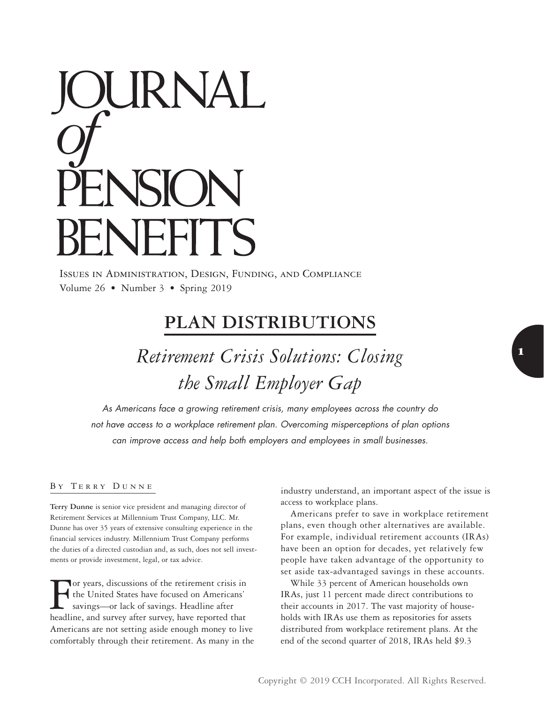# DURNAL **NFFITS**

Issues in Administration, Design, Funding, and Compliance Volume 26 • Number 3 • Spring 2019

# **PLAN DISTRIBUTIONS**

*Retirement Crisis Solutions: Closing the Small Employer Gap*

*As Americans face a growing retirement crisis, many employees across the country do not have access to a workplace retirement plan. Overcoming misperceptions of plan options can improve access and help both employers and employees in small businesses.*

# By Terry Dunne

**Terry Dunne** is senior vice president and managing director of Retirement Services at Millennium Trust Company, LLC. Mr. Dunne has over 35 years of extensive consulting experience in the financial services industry. Millennium Trust Company performs the duties of a directed custodian and, as such, does not sell investments or provide investment, legal, or tax advice.

For years, discussions of the retirement crisis in<br>the United States have focused on Americans'<br>savings—or lack of savings. Headline after<br>headline and survey after survey have reported that the United States have focused on Americans' savings—or lack of savings. Headline after headline, and survey after survey, have reported that Americans are not setting aside enough money to live comfortably through their retirement. As many in the industry understand, an important aspect of the issue is access to workplace plans.

Americans prefer to save in workplace retirement plans, even though other alternatives are available. For example, individual retirement accounts (IRAs) have been an option for decades, yet relatively few people have taken advantage of the opportunity to set aside tax-advantaged savings in these accounts.

While 33 percent of American households own IRAs, just 11 percent made direct contributions to their accounts in 2017. The vast majority of households with IRAs use them as repositories for assets distributed from workplace retirement plans. At the end of the second quarter of 2018, IRAs held \$9.3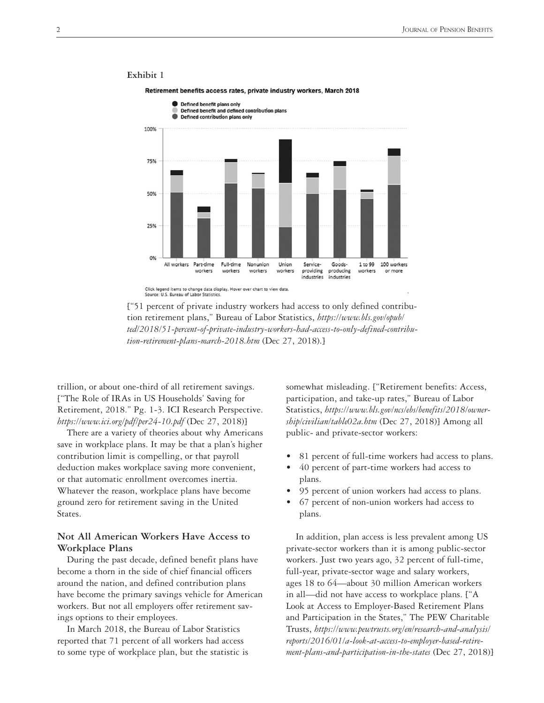

### **Exhibit 1**

Retirement benefits access rates, private industry workers, March 2018



trillion, or about one-third of all retirement savings. ["The Role of IRAs in US Households' Saving for Retirement, 2018." Pg. 1-3. ICI Research Perspective. *<https://www.ici.org/pdf/per24-10.pdf>* (Dec 27, 2018)]

There are a variety of theories about why Americans save in workplace plans. It may be that a plan's higher contribution limit is compelling, or that payroll deduction makes workplace saving more convenient, or that automatic enrollment overcomes inertia. Whatever the reason, workplace plans have become ground zero for retirement saving in the United States.

# **Not All American Workers Have Access to Workplace Plans**

During the past decade, defined benefit plans have become a thorn in the side of chief financial officers around the nation, and defined contribution plans have become the primary savings vehicle for American workers. But not all employers offer retirement savings options to their employees.

In March 2018, the Bureau of Labor Statistics reported that 71 percent of all workers had access to some type of workplace plan, but the statistic is

somewhat misleading. ["Retirement benefits: Access, participation, and take-up rates," Bureau of Labor Statistics, *[https://www.bls.gov/ncs/ebs/benefits/2018/owner](https://www.bls.gov/ncs/ebs/benefits/2018/ownership/civilian/table02a.htm)[ship/civilian/table02a.htm](https://www.bls.gov/ncs/ebs/benefits/2018/ownership/civilian/table02a.htm)* (Dec 27, 2018)] Among all public- and private-sector workers:

- 81 percent of full-time workers had access to plans.
- 40 percent of part-time workers had access to plans.
- 95 percent of union workers had access to plans.
- 67 percent of non-union workers had access to plans.

In addition, plan access is less prevalent among US private-sector workers than it is among public-sector workers. Just two years ago, 32 percent of full-time, full-year, private-sector wage and salary workers, ages 18 to 64—about 30 million American workers in all—did not have access to workplace plans. ["A Look at Access to Employer-Based Retirement Plans and Participation in the States," The PEW Charitable Trusts, *[https://www.pewtrusts.org/en/research-and-analysis/](https://www.pewtrusts.org/en/research-and-analysis/reports/2016/01/a-look-at-access-to-employer-based-retirement-plans-and-participation-in-the-states) [reports/2016/01/a-look-at-access-to-employer-based-retire](https://www.pewtrusts.org/en/research-and-analysis/reports/2016/01/a-look-at-access-to-employer-based-retirement-plans-and-participation-in-the-states)[ment-plans-and-participation-in-the-states](https://www.pewtrusts.org/en/research-and-analysis/reports/2016/01/a-look-at-access-to-employer-based-retirement-plans-and-participation-in-the-states)* (Dec 27, 2018)]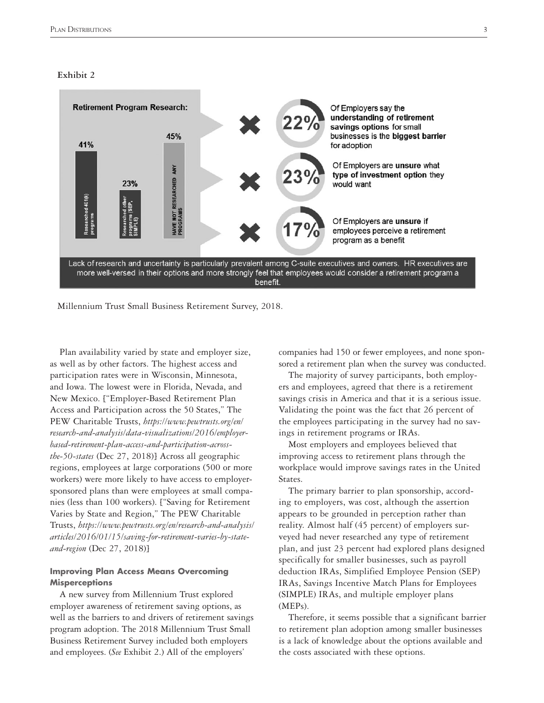### **Exhibit 2**



Millennium Trust Small Business Retirement Survey, 2018.

Plan availability varied by state and employer size, as well as by other factors. The highest access and participation rates were in Wisconsin, Minnesota, and Iowa. The lowest were in Florida, Nevada, and New Mexico. ["Employer-Based Retirement Plan Access and Participation across the 50 States," The PEW Charitable Trusts, *[https://www.pewtrusts.org/en/](https://www.pewtrusts.org/en/research-and-analysis/data-visualizations/2016/employer-based-retirement-plan-access-and-participation-across-the-50-states) [research-and-analysis/data-visualizations/2016/employer](https://www.pewtrusts.org/en/research-and-analysis/data-visualizations/2016/employer-based-retirement-plan-access-and-participation-across-the-50-states)[based-retirement-plan-access-and-participation-across](https://www.pewtrusts.org/en/research-and-analysis/data-visualizations/2016/employer-based-retirement-plan-access-and-participation-across-the-50-states)[the-50-states](https://www.pewtrusts.org/en/research-and-analysis/data-visualizations/2016/employer-based-retirement-plan-access-and-participation-across-the-50-states)* (Dec 27, 2018)] Across all geographic regions, employees at large corporations (500 or more workers) were more likely to have access to employersponsored plans than were employees at small companies (less than 100 workers). ["Saving for Retirement Varies by State and Region," The PEW Charitable Trusts, *[https://www.pewtrusts.org/en/research-and-analysis/](https://www.pewtrusts.org/en/research-and-analysis/articles/2016/01/15/saving-for-retirement-varies-by-state-and-region) [articles/2016/01/15/saving-for-retirement-varies-by-state](https://www.pewtrusts.org/en/research-and-analysis/articles/2016/01/15/saving-for-retirement-varies-by-state-and-region)[and-region](https://www.pewtrusts.org/en/research-and-analysis/articles/2016/01/15/saving-for-retirement-varies-by-state-and-region)* (Dec 27, 2018)]

## **Improving Plan Access Means Overcoming Misperceptions**

A new survey from Millennium Trust explored employer awareness of retirement saving options, as well as the barriers to and drivers of retirement savings program adoption. The 2018 Millennium Trust Small Business Retirement Survey included both employers and employees. (*See* Exhibit 2.) All of the employers'

companies had 150 or fewer employees, and none sponsored a retirement plan when the survey was conducted.

The majority of survey participants, both employers and employees, agreed that there is a retirement savings crisis in America and that it is a serious issue. Validating the point was the fact that 26 percent of the employees participating in the survey had no savings in retirement programs or IRAs.

Most employers and employees believed that improving access to retirement plans through the workplace would improve savings rates in the United States.

The primary barrier to plan sponsorship, according to employers, was cost, although the assertion appears to be grounded in perception rather than reality. Almost half (45 percent) of employers surveyed had never researched any type of retirement plan, and just 23 percent had explored plans designed specifically for smaller businesses, such as payroll deduction IRAs, Simplified Employee Pension (SEP) IRAs, Savings Incentive Match Plans for Employees (SIMPLE) IRAs, and multiple employer plans (MEPs).

Therefore, it seems possible that a significant barrier to retirement plan adoption among smaller businesses is a lack of knowledge about the options available and the costs associated with these options.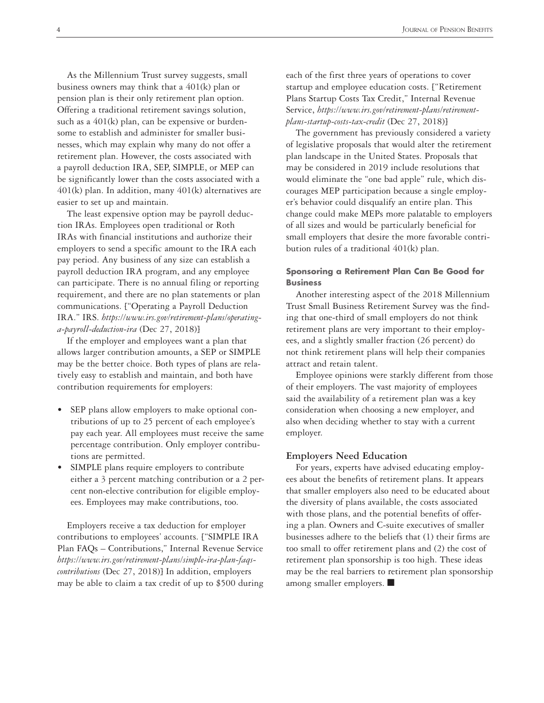As the Millennium Trust survey suggests, small business owners may think that a 401(k) plan or pension plan is their only retirement plan option. Offering a traditional retirement savings solution, such as a  $401(k)$  plan, can be expensive or burdensome to establish and administer for smaller businesses, which may explain why many do not offer a retirement plan. However, the costs associated with a payroll deduction IRA, SEP, SIMPLE, or MEP can be significantly lower than the costs associated with a 401(k) plan. In addition, many 401(k) alternatives are easier to set up and maintain.

The least expensive option may be payroll deduction IRAs. Employees open traditional or Roth IRAs with financial institutions and authorize their employers to send a specific amount to the IRA each pay period. Any business of any size can establish a payroll deduction IRA program, and any employee can participate. There is no annual filing or reporting requirement, and there are no plan statements or plan communications. ["Operating a Payroll Deduction IRA." IRS. *[https://www.irs.gov/retirement-plans/operating](https://www.irs.gov/retirement-plans/operating-a-payroll-deduction-ira)[a-payroll-deduction-ira](https://www.irs.gov/retirement-plans/operating-a-payroll-deduction-ira)* (Dec 27, 2018)]

If the employer and employees want a plan that allows larger contribution amounts, a SEP or SIMPLE may be the better choice. Both types of plans are relatively easy to establish and maintain, and both have contribution requirements for employers:

- SEP plans allow employers to make optional contributions of up to 25 percent of each employee's pay each year. All employees must receive the same percentage contribution. Only employer contributions are permitted.
- SIMPLE plans require employers to contribute either a 3 percent matching contribution or a 2 percent non-elective contribution for eligible employees. Employees may make contributions, too.

Employers receive a tax deduction for employer contributions to employees' accounts. ["SIMPLE IRA Plan FAQs – Contributions," Internal Revenue Service *[https://www.irs.gov/retirement-plans/simple-ira-plan-faqs](https://www.irs.gov/retirement-plans/simple-ira-plan-faqs-contributions)[contributions](https://www.irs.gov/retirement-plans/simple-ira-plan-faqs-contributions)* (Dec 27, 2018)] In addition, employers may be able to claim a tax credit of up to \$500 during each of the first three years of operations to cover startup and employee education costs. ["Retirement Plans Startup Costs Tax Credit," Internal Revenue Service, *[https://www.irs.gov/retirement-plans/retirement](https://www.irs.gov/retirement-plans/retirement-plans-startup-costs-tax-credit)[plans-startup-costs-tax-credit](https://www.irs.gov/retirement-plans/retirement-plans-startup-costs-tax-credit)* (Dec 27, 2018)]

The government has previously considered a variety of legislative proposals that would alter the retirement plan landscape in the United States. Proposals that may be considered in 2019 include resolutions that would eliminate the "one bad apple" rule, which discourages MEP participation because a single employer's behavior could disqualify an entire plan. This change could make MEPs more palatable to employers of all sizes and would be particularly beneficial for small employers that desire the more favorable contribution rules of a traditional 401(k) plan.

### **Sponsoring a Retirement Plan Can Be Good for Business**

Another interesting aspect of the 2018 Millennium Trust Small Business Retirement Survey was the finding that one-third of small employers do not think retirement plans are very important to their employees, and a slightly smaller fraction (26 percent) do not think retirement plans will help their companies attract and retain talent.

Employee opinions were starkly different from those of their employers. The vast majority of employees said the availability of a retirement plan was a key consideration when choosing a new employer, and also when deciding whether to stay with a current employer.

### **Employers Need Education**

For years, experts have advised educating employees about the benefits of retirement plans. It appears that smaller employers also need to be educated about the diversity of plans available, the costs associated with those plans, and the potential benefits of offering a plan. Owners and C-suite executives of smaller businesses adhere to the beliefs that (1) their firms are too small to offer retirement plans and (2) the cost of retirement plan sponsorship is too high. These ideas may be the real barriers to retirement plan sponsorship among smaller employers. ■